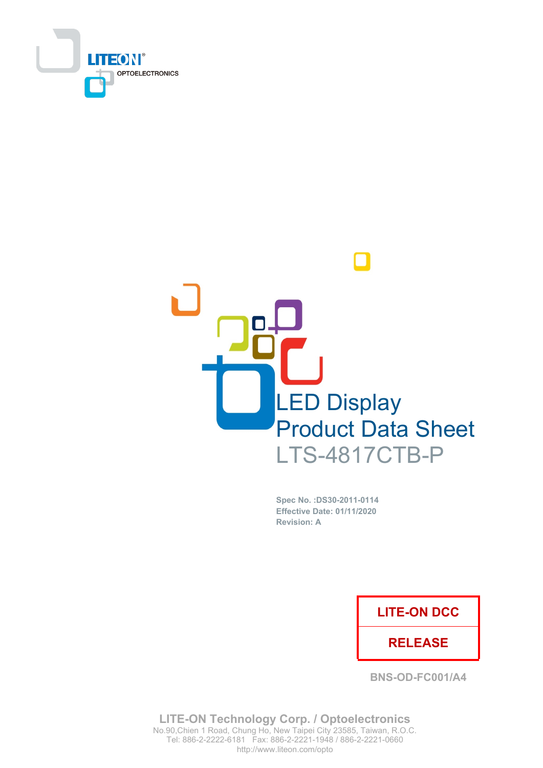



Spec No. : DS30-2011-0114 **Effective Date: 01/11/2020 Revision: A** 

## **LITE-ON DCC**

## **RELEASE**

**BNS-OD-FC001/A4** 

**LITE-ON Technology Corp. / Optoelectronics** No.90, Chien 1 Road, Chung Ho, New Taipei City 23585, Taiwan, R.O.C. Tel: 886-2-2222-6181 Fax: 886-2-2221-1948 / 886-2-2221-0660 http://www.liteon.com/opto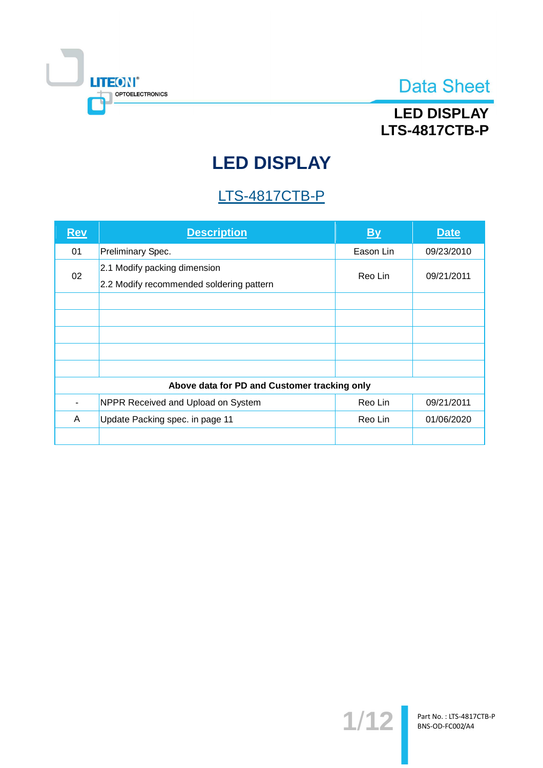

# **LED DISPLAY LTS-4817CTB-P**

# **LED DISPLAY**

# **LTS-4817CTB-P**

| <b>Rev</b> | <b>Description</b>                                                       | <u>By</u> | <b>Date</b> |
|------------|--------------------------------------------------------------------------|-----------|-------------|
| 01         | Preliminary Spec.                                                        | Eason Lin | 09/23/2010  |
| 02         | 2.1 Modify packing dimension<br>2.2 Modify recommended soldering pattern | Reo Lin   | 09/21/2011  |
|            |                                                                          |           |             |
|            |                                                                          |           |             |
|            |                                                                          |           |             |
|            |                                                                          |           |             |
|            |                                                                          |           |             |
|            | Above data for PD and Customer tracking only                             |           |             |
|            | NPPR Received and Upload on System                                       | Reo Lin   | 09/21/2011  |
| A          | Update Packing spec. in page 11                                          | Reo Lin   | 01/06/2020  |
|            |                                                                          |           |             |

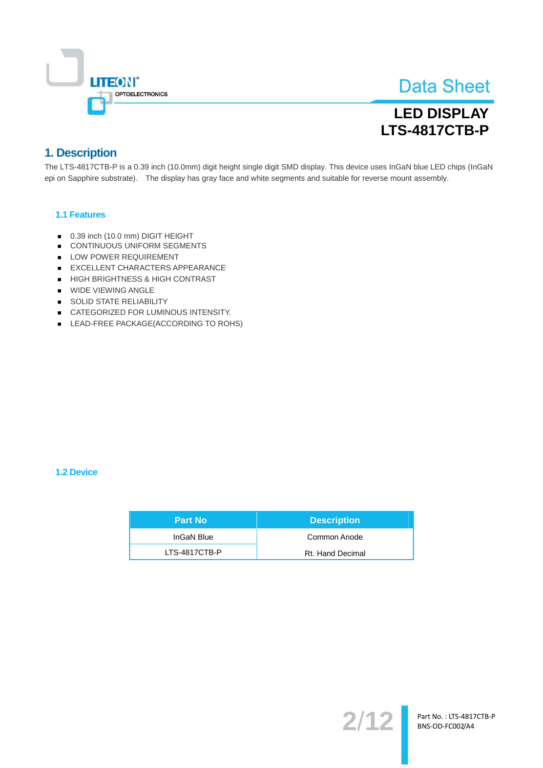

# **LED DISPLAY LTS-4817CTB-P**

### 1. Description

The LTS-4817CTB-P is a 0.39 inch (10.0mm) digit height single digit SMD display. This device uses InGaN blue LED chips (InGaN epi on Sapphire substrate). The display has gray face and white segments and suitable for reverse mount assembly.

### 1.1 Features

- 0.39 inch (10.0 mm) DIGIT HEIGHT
- CONTINUOUS UNIFORM SEGMENTS
- LOW POWER REQUIREMENT
- EXCELLENT CHARACTERS APPEARANCE
- HIGH BRIGHTNESS & HIGH CONTRAST
- WIDE VIEWING ANGLE
- SOLID STATE RELIABILITY
- CATEGORIZED FOR LUMINOUS INTENSITY.
- LEAD-FREE PACKAGE(ACCORDING TO ROHS)

#### 1.2 Device

| /Part No      | <b>Description</b> |
|---------------|--------------------|
| InGaN Blue    | Common Anode       |
| LTS-4817CTB-P | Rt. Hand Decimal   |

 $2/12$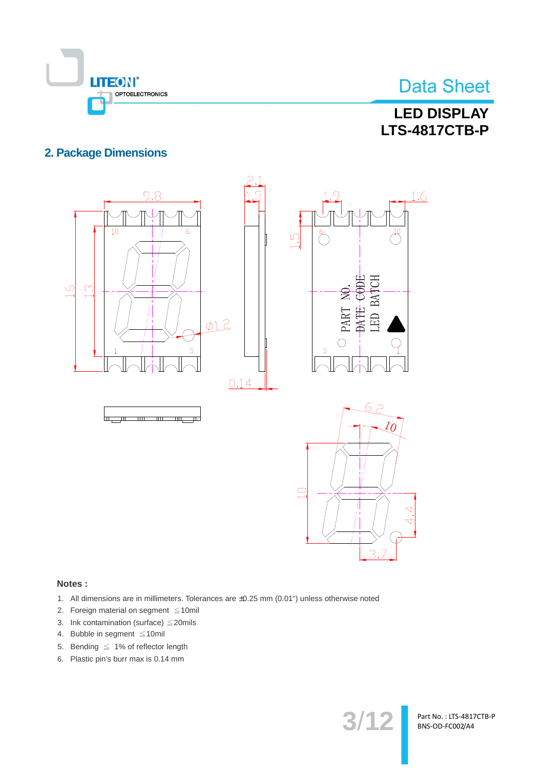

# **LED DISPLAY LTS-4817CTB-P**

### **2. Package Dimensions**



#### Notes:

- 1. All dimensions are in millimeters. Tolerances are ±0.25 mm (0.01") unless otherwise noted
- 2. Foreign material on segment ≤10mil
- 3. Ink contamination (surface)  $\leq$  20mils
- 4. Bubble in segment  $\leq 10$ mil
- 5. Bending  $\leq 1\%$  of reflector length
- 6. Plastic pin's burr max is 0.14 mm

 $3/12$ 

Part No.: LTS-4817CTB-P BNS-OD-FC002/A4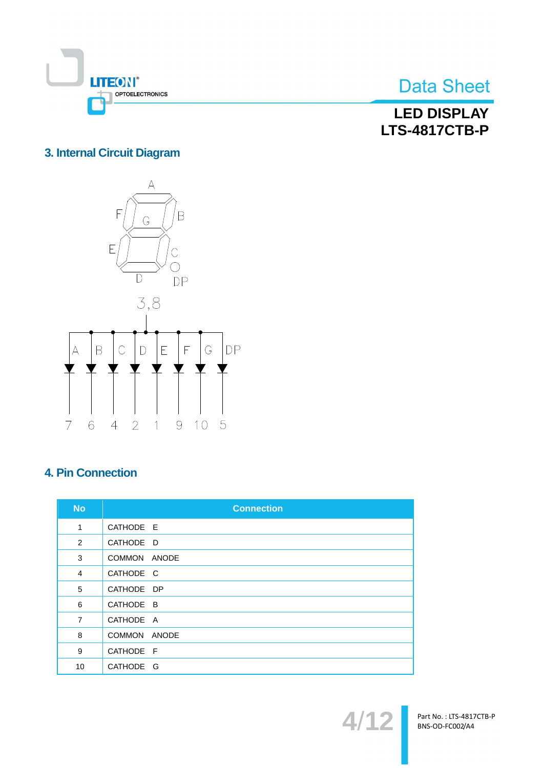

**LED DISPLAY LTS-4817CTB-P** 

## 3. Internal Circuit Diagram



## **4. Pin Connection**

| <b>No</b>      | <b>Connection</b>      |
|----------------|------------------------|
| 1              | CATHODE E              |
| 2              | CATHODE D              |
| 3              | <b>COMMON</b><br>ANODE |
| $\overline{4}$ | CATHODE C              |
| 5              | CATHODE DP             |
| 6              | CATHODE B              |
| $\overline{7}$ | CATHODE A              |
| 8              | COMMON ANODE           |
| 9              | CATHODE F              |
| 10             | CATHODE G              |



Part No.: LTS-4817CTB-P<br>BNS-OD-FC002/A4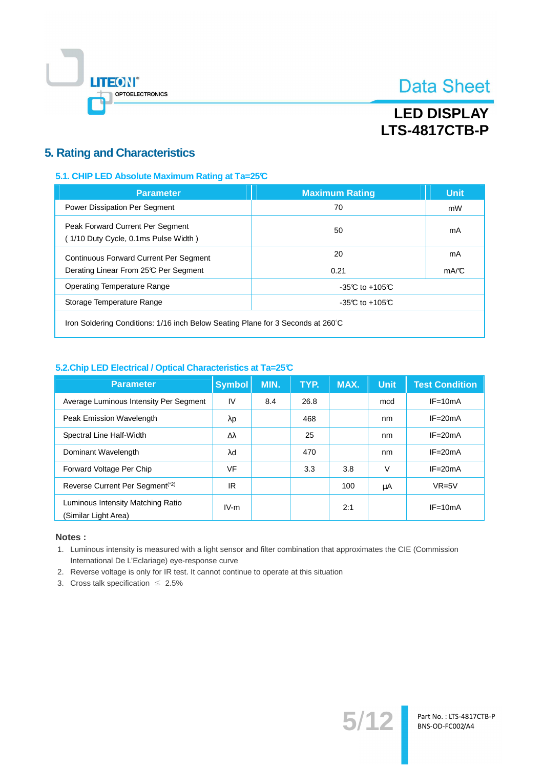

# **LED DISPLAY LTS-4817CTB-P**

### **5. Rating and Characteristics**

### 5.1. CHIP LED Absolute Maximum Rating at Ta=25°C

| <b>Parameter</b>                                                                       | <b>Maximum Rating</b> | <b>Unit</b> |  |
|----------------------------------------------------------------------------------------|-----------------------|-------------|--|
| Power Dissipation Per Segment                                                          | 70                    | mW          |  |
| Peak Forward Current Per Segment<br>(1/10 Duty Cycle, 0.1ms Pulse Width)               | 50                    | mA          |  |
| <b>Continuous Forward Current Per Segment</b><br>Derating Linear From 25°C Per Segment | 20<br>0.21            | mA<br>mA/C  |  |
| <b>Operating Temperature Range</b>                                                     | -35 $C$ to +105 $C$   |             |  |
| Storage Temperature Range                                                              | -35 $C$ to +105 $C$   |             |  |
|                                                                                        |                       |             |  |

Iron Soldering Conditions: 1/16 inch Below Seating Plane for 3 Seconds at 260°C

### 5.2. Chip LED Electrical / Optical Characteristics at Ta=25°C

| <b>Parameter</b>                                          | <b>Symbol</b> | MIN. | TYP. | MAX. | <b>Unit</b> | <b>Test Condition</b> |
|-----------------------------------------------------------|---------------|------|------|------|-------------|-----------------------|
| Average Luminous Intensity Per Segment                    | IV            | 8.4  | 26.8 |      | mcd         | $IF = 10mA$           |
| <b>Peak Emission Wavelength</b>                           | λp            |      | 468  |      | nm          | $IF = 20mA$           |
| Spectral Line Half-Width                                  | Δλ            |      | 25   |      | nm          | $IF = 20mA$           |
| Dominant Wavelength                                       | λd            |      | 470  |      | nm          | $IF = 20mA$           |
| Forward Voltage Per Chip                                  | VF            |      | 3.3  | 3.8  | V           | $IF = 20mA$           |
| Reverse Current Per Segment <sup>(*2)</sup>               | IR            |      |      | 100  | μA          | $VR=5V$               |
| Luminous Intensity Matching Ratio<br>(Similar Light Area) | $IV-m$        |      |      | 2:1  |             | $IF = 10mA$           |

#### Notes:

1. Luminous intensity is measured with a light sensor and filter combination that approximates the CIE (Commission International De L'Eclariage) eye-response curve

 $5/12$ 

Part No. : LTS-4817CTB-P<br>BNS-OD-FC002/A4

2. Reverse voltage is only for IR test. It cannot continue to operate at this situation

3. Cross talk specification  $\leq 2.5\%$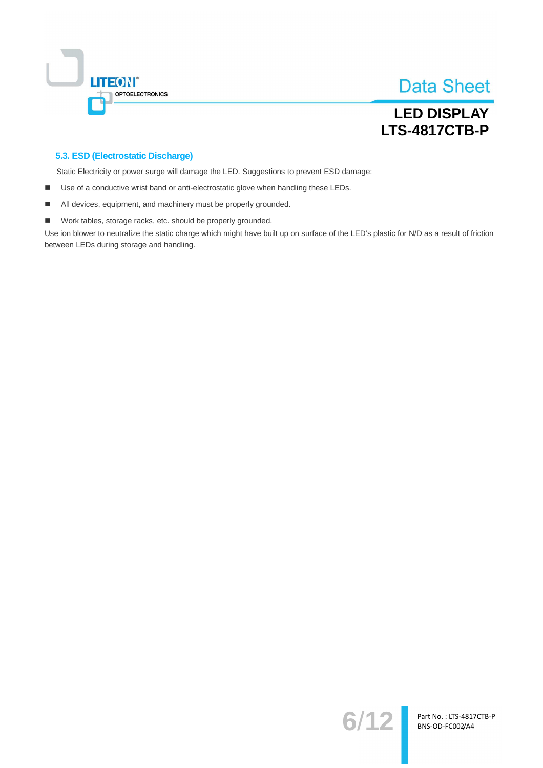

## **LED DISPLAY LTS-4817CTB-P**

### 5.3. ESD (Electrostatic Discharge)

Static Electricity or power surge will damage the LED. Suggestions to prevent ESD damage:

- $\blacksquare$ Use of a conductive wrist band or anti-electrostatic glove when handling these LEDs.
- All devices, equipment, and machinery must be properly grounded.  $\blacksquare$
- Work tables, storage racks, etc. should be properly grounded.  $\blacksquare$

Use ion blower to neutralize the static charge which might have built up on surface of the LED's plastic for N/D as a result of friction between LEDs during storage and handling.

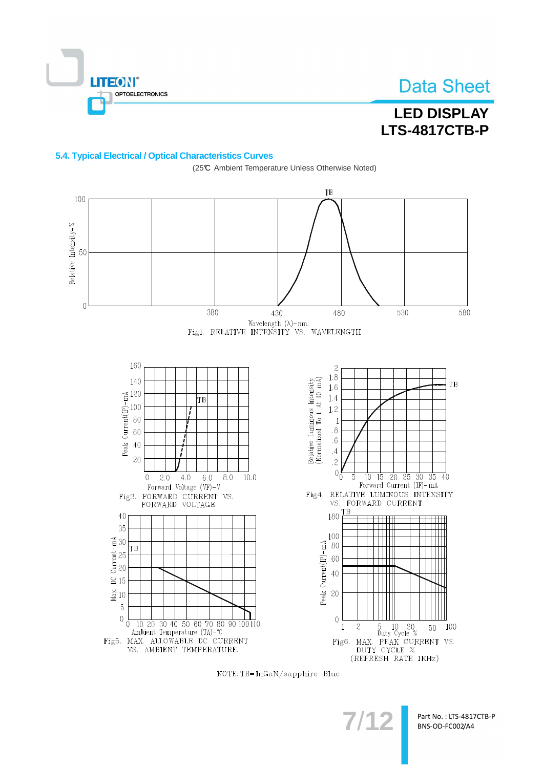

# **LED DISPLAY LTS-4817CTB-P**

### 5.4. Typical Electrical / Optical Characteristics Curves



(25℃ Ambient Temperature Unless Otherwise Noted)

NOTE: TB=InGaN/sapphire Blue

Part No.: LTS-4817CTB-P BNS-OD-FC002/A4

 $7/1$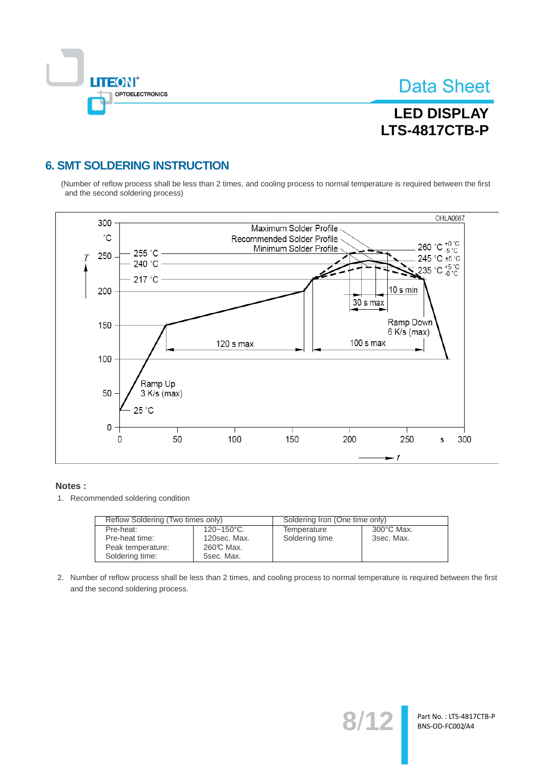

# **LED DISPLAY LTS-4817CTB-P**

## **6. SMT SOLDERING INSTRUCTION**

(Number of reflow process shall be less than 2 times, and cooling process to normal temperature is required between the first and the second soldering process)



#### Notes:

1. Recommended soldering condition

| Reflow Soldering (Two times only) |                 | Soldering Iron (One time only) |            |  |
|-----------------------------------|-----------------|--------------------------------|------------|--|
| Pre-heat:                         | $120 - 150$ °C. | Temperature                    | 300°C Max. |  |
| Pre-heat time:                    | 120sec. Max.    | Soldering time                 | 3sec. Max. |  |
| Peak temperature:                 | 260℃ Max.       |                                |            |  |
| Soldering time:                   | 5sec. Max.      |                                |            |  |

2. Number of reflow process shall be less than 2 times, and cooling process to normal temperature is required between the first and the second soldering process.

 $8/1$ 

Part No.: LTS-4817CTB-P BNS-OD-FC002/A4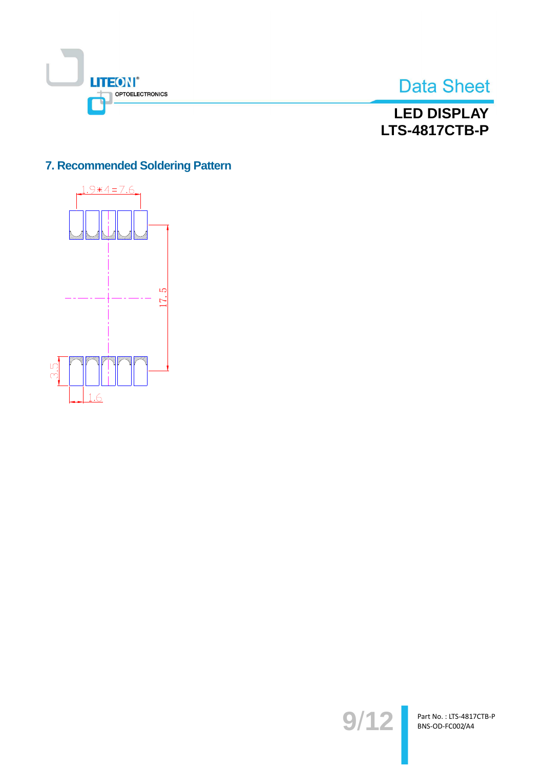



## **LED DISPLAY LTS-4817CTB-P**

## 7. Recommended Soldering Pattern



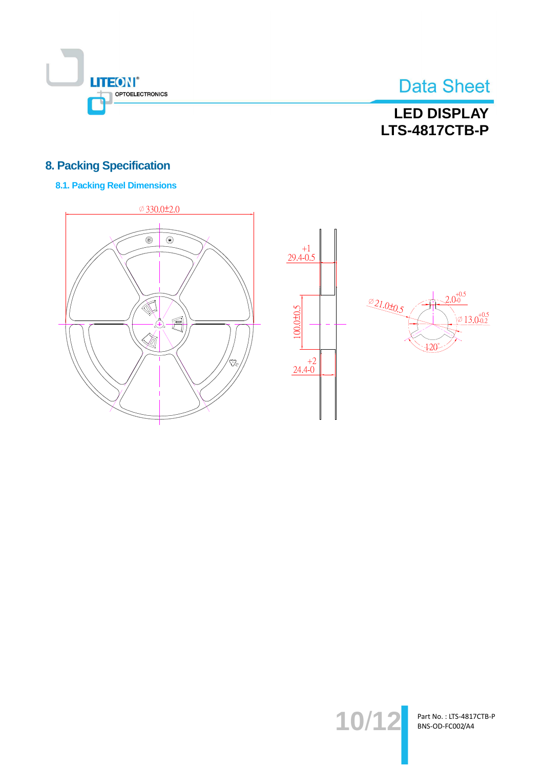

# **LED DISPLAY LTS-4817CTB-P**

## **8. Packing Specification**

### **8.1. Packing Reel Dimensions**









Part No.: LTS-4817CTB-P BNS-OD-FC002/A4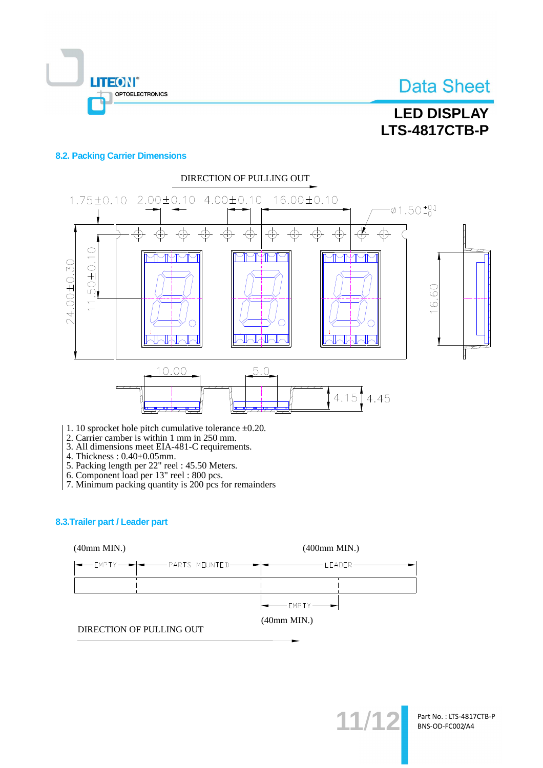

# **LED DISPLAY LTS-4817CTB-P**

#### **8.2. Packing Carrier Dimensions**



- 1. 10 sprocket hole pitch cumulative tolerance  $\pm 0.20$ .
- 2. Carrier camber is within 1 mm in 250 mm.<br>3. All dimensions meet EIA-481-C requirements.
- 
- 
- 
- 
- 4. Thickness :  $0.40\pm0.05$ mm.<br>
5. Packing length per 22" reel : 45.50 Meters.<br>
6. Component load per 13" reel : 800 pcs.<br>
7. Minimum packing quantity is 200 pcs for remainders

#### 8.3. Trailer part / Leader part





 $11/1$